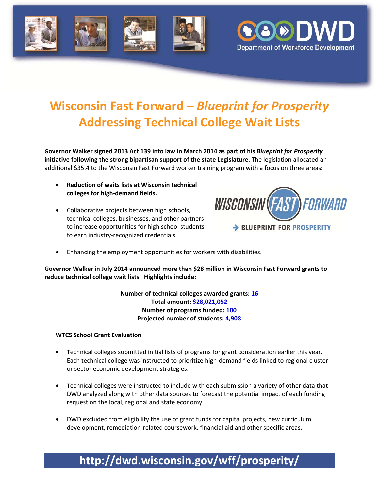



# **Wisconsin Fast Forward –** *Blueprint for Prosperity* **Addressing Technical College Wait Lists**

**Governor Walker signed 2013 Act 139 into law in March 2014 as part of his** *Blueprint for Prosperity* **initiative following the strong bipartisan support of the state Legislature.** The legislation allocated an additional \$35.4 to the Wisconsin Fast Forward worker training program with a focus on three areas:

- **Reduction of waits lists at Wisconsin technical colleges for high‐demand fields.**
- Collaborative projects between high schools, technical colleges, businesses, and other partners to increase opportunities for high school students to earn industry‐recognized credentials.



Enhancing the employment opportunities for workers with disabilities.

**Governor Walker in July 2014 announced more than \$28 million in Wisconsin Fast Forward grants to reduce technical college wait lists. Highlights include:**

> **Number of technical colleges awarded grants: 16 Total amount: \$28,021,052 Number of programs funded: 100 Projected number of students: 4,908**

#### **WTCS School Grant Evaluation**

- Technical colleges submitted initial lists of programs for grant consideration earlier this year. Each technical college was instructed to prioritize high‐demand fields linked to regional cluster or sector economic development strategies.
- Technical colleges were instructed to include with each submission a variety of other data that DWD analyzed along with other data sources to forecast the potential impact of each funding request on the local, regional and state economy.
- DWD excluded from eligibility the use of grant funds for capital projects, new curriculum development, remediation‐related coursework, financial aid and other specific areas.

### **http://dwd.wisconsin.gov/wff/prosperity/**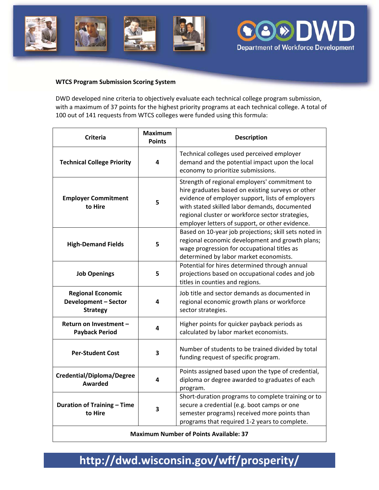



#### **WTCS Program Submission Scoring System**

DWD developed nine criteria to objectively evaluate each technical college program submission, with a maximum of 37 points for the highest priority programs at each technical college. A total of 100 out of 141 requests from WTCS colleges were funded using this formula:

| <b>Criteria</b>                                                            | <b>Maximum</b><br><b>Points</b> | <b>Description</b>                                                                                                                                                                                                                                                                                             |
|----------------------------------------------------------------------------|---------------------------------|----------------------------------------------------------------------------------------------------------------------------------------------------------------------------------------------------------------------------------------------------------------------------------------------------------------|
| <b>Technical College Priority</b>                                          | 4                               | Technical colleges used perceived employer<br>demand and the potential impact upon the local<br>economy to prioritize submissions.                                                                                                                                                                             |
| <b>Employer Commitment</b><br>to Hire                                      | 5                               | Strength of regional employers' commitment to<br>hire graduates based on existing surveys or other<br>evidence of employer support, lists of employers<br>with stated skilled labor demands, documented<br>regional cluster or workforce sector strategies,<br>employer letters of support, or other evidence. |
| <b>High-Demand Fields</b>                                                  | 5                               | Based on 10-year job projections; skill sets noted in<br>regional economic development and growth plans;<br>wage progression for occupational titles as<br>determined by labor market economists.                                                                                                              |
| <b>Job Openings</b>                                                        | 5                               | Potential for hires determined through annual<br>projections based on occupational codes and job<br>titles in counties and regions.                                                                                                                                                                            |
| <b>Regional Economic</b><br><b>Development - Sector</b><br><b>Strategy</b> | 4                               | Job title and sector demands as documented in<br>regional economic growth plans or workforce<br>sector strategies.                                                                                                                                                                                             |
| Return on Investment -<br><b>Payback Period</b>                            | 4                               | Higher points for quicker payback periods as<br>calculated by labor market economists.                                                                                                                                                                                                                         |
| <b>Per-Student Cost</b>                                                    | 3                               | Number of students to be trained divided by total<br>funding request of specific program.                                                                                                                                                                                                                      |
| <b>Credential/Diploma/Degree</b><br>Awarded                                | 4                               | Points assigned based upon the type of credential,<br>diploma or degree awarded to graduates of each<br>program.                                                                                                                                                                                               |
| <b>Duration of Training - Time</b><br>to Hire                              | 3                               | Short-duration programs to complete training or to<br>secure a credential (e.g. boot camps or one<br>semester programs) received more points than<br>programs that required 1-2 years to complete.                                                                                                             |
| <b>Maximum Number of Points Available: 37</b>                              |                                 |                                                                                                                                                                                                                                                                                                                |

## **http://dwd.wisconsin.gov/wff/prosperity/**